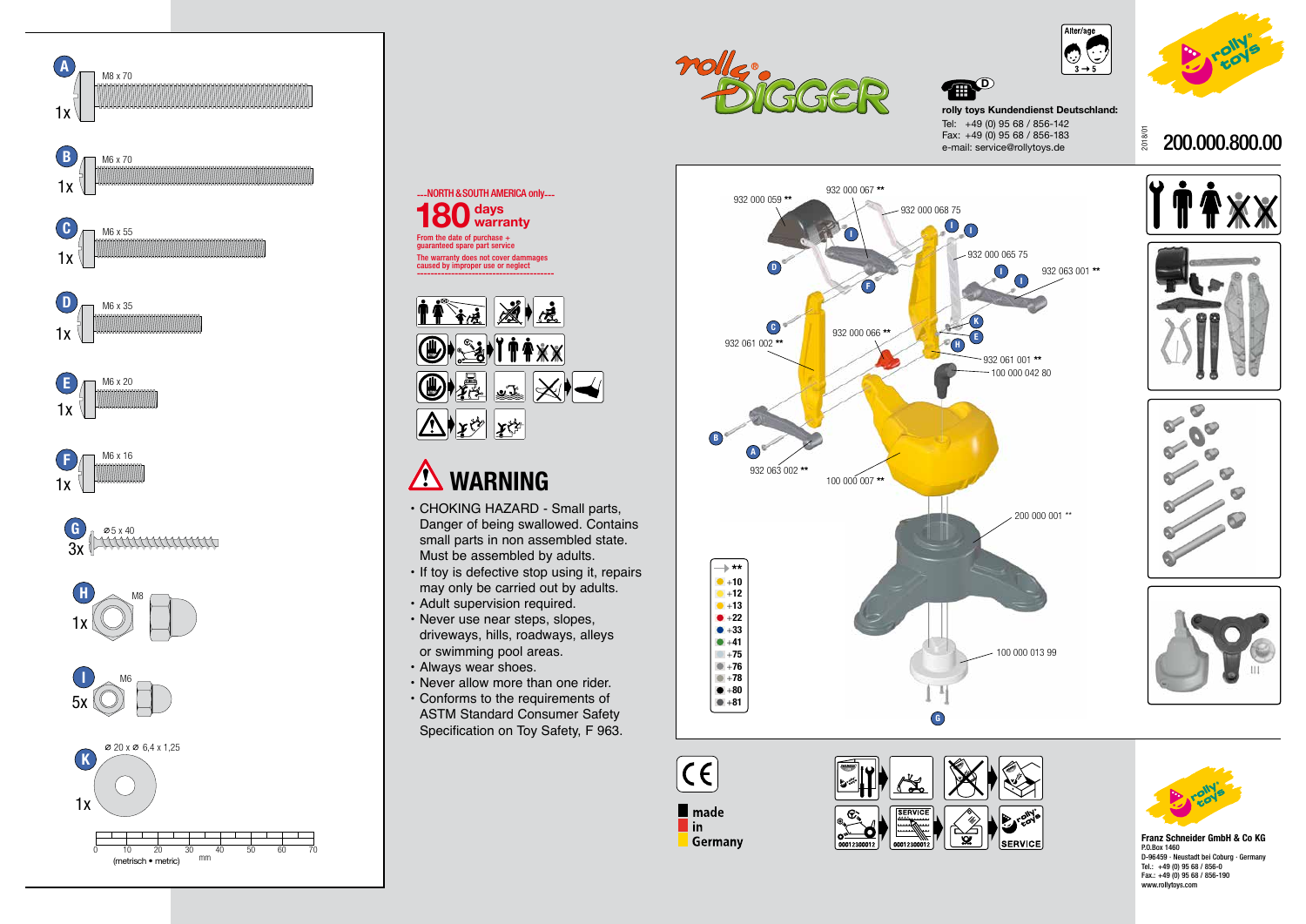2018/01

## 200.000.800.00













**WARNING**

 $\left\Vert \mathbf{r}\right\Vert _{2}$ 

• CHOKING HAZARD - Small parts, Danger of being swallowed. Contains small parts in non assembled state.

 $\mathbf{x}$ 

 $\mathbb{Z}$   $\mathbb{Z}$   $\mathbb{X}$ 

Must be assembled by adults.

• If toy is defective stop using it, repairs may only be carried out by adults.





• Adult supervision required. • Never use near steps, slopes, driveways, hills, roadways, alleys

or swimming pool areas.

• Always wear shoes.

• Never allow more than one rider. • Conforms to the requirements of ASTM Standard Consumer Safety Specification on Toy Safety, F 963.

**rolly toys Kundendienst Deutschland:** Tel: +49 (0) 95 68 / 856-142 Fax: +49 (0) 95 68 / 856-183 e-mail: service@rollytoys.de







**D** 

**Franz Schneider GmbH & Co KG** P.O.Box 1460 D-96459 · Neustadt bei Coburg · Germany Tel.: +49 (0) 95 68 / 856-0 Fax.: +49 (0) 95 68 / 856-190 www.rollytoys.com

From the date of purchase + guaranteed spare part service

**days 180 warranty**

The warranty does not cover dammages caused by improper use or neglect ----------------------------------------

11 72 212

**OD-SHITAXX** 

---NORTH & SOUTH AMERICA only---